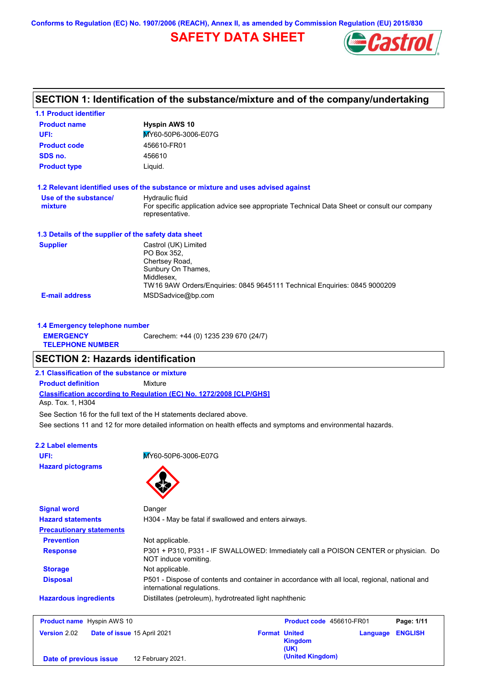**Conforms to Regulation (EC) No. 1907/2006 (REACH), Annex II, as amended by Commission Regulation (EU) 2015/830**

## **SAFETY DATA SHEET**



## **SECTION 1: Identification of the substance/mixture and of the company/undertaking**

| <b>1.1 Product identifier</b>                        |                                                                                                                                                                        |
|------------------------------------------------------|------------------------------------------------------------------------------------------------------------------------------------------------------------------------|
| <b>Product name</b>                                  | <b>Hyspin AWS 10</b>                                                                                                                                                   |
| UFI:                                                 | MY60-50P6-3006-E07G                                                                                                                                                    |
| <b>Product code</b>                                  | 456610-FR01                                                                                                                                                            |
| SDS no.                                              | 456610                                                                                                                                                                 |
| <b>Product type</b>                                  | Liquid.                                                                                                                                                                |
|                                                      | 1.2 Relevant identified uses of the substance or mixture and uses advised against                                                                                      |
| Use of the substance/<br>mixture                     | Hydraulic fluid<br>For specific application advice see appropriate Technical Data Sheet or consult our company<br>representative.                                      |
| 1.3 Details of the supplier of the safety data sheet |                                                                                                                                                                        |
| <b>Supplier</b>                                      | Castrol (UK) Limited<br>PO Box 352.<br>Chertsey Road,<br>Sunbury On Thames,<br>Middlesex,<br>TW16 9AW Orders/Enguiries: 0845 9645111 Technical Enguiries: 0845 9000209 |
| <b>E-mail address</b>                                | MSDSadvice@bp.com                                                                                                                                                      |
| 1.4 Emergency telephone number                       |                                                                                                                                                                        |
| <b>EMERGENCY</b><br><b>TELEPHONE NUMBER</b>          | Carechem: +44 (0) 1235 239 670 (24/7)                                                                                                                                  |
| <b>SECTION 2: Hazards identification</b>             |                                                                                                                                                                        |
| 2.1 Classification of the substance or mixture       |                                                                                                                                                                        |
| <b>Product definition</b>                            | Mixture                                                                                                                                                                |
|                                                      | <b>Classification according to Regulation (EC) No. 1272/2008 [CLP/GHS]</b>                                                                                             |

Asp. Tox. 1, H304

See Section 16 for the full text of the H statements declared above.

See sections 11 and 12 for more detailed information on health effects and symptoms and environmental hazards.

#### **2.2 Label elements**

**Hazard pictograms**

**UFI:** MY60-50P6-3006-E07G



| <b>Signal word</b>                | Danger                                                                                                                      |
|-----------------------------------|-----------------------------------------------------------------------------------------------------------------------------|
| <b>Hazard statements</b>          | H304 - May be fatal if swallowed and enters airways.                                                                        |
| <b>Precautionary statements</b>   |                                                                                                                             |
| <b>Prevention</b>                 | Not applicable.                                                                                                             |
| <b>Response</b>                   | P301 + P310, P331 - IF SWALLOWED: Immediately call a POISON CENTER or physician. Do<br>NOT induce vomiting.                 |
| <b>Storage</b>                    | Not applicable.                                                                                                             |
| <b>Disposal</b>                   | P501 - Dispose of contents and container in accordance with all local, regional, national and<br>international regulations. |
| <b>Hazardous ingredients</b>      | Distillates (petroleum), hydrotreated light naphthenic                                                                      |
| <b>Product name</b> Hyspin AWS 10 | <b>Product code</b> 456610-FR01<br>Page: 1/11                                                                               |

| <b>Product name</b> Hyspin AWS 10 |                        |  | <b>Product code</b> 456610-FR01 |                      | Page: 1/11             |                         |  |
|-----------------------------------|------------------------|--|---------------------------------|----------------------|------------------------|-------------------------|--|
|                                   | <b>Version 2.02</b>    |  | Date of issue 15 April 2021     | <b>Format United</b> | <b>Kingdom</b><br>(UK) | <b>Language ENGLISH</b> |  |
|                                   | Date of previous issue |  | 12 February 2021.               |                      | (United Kingdom)       |                         |  |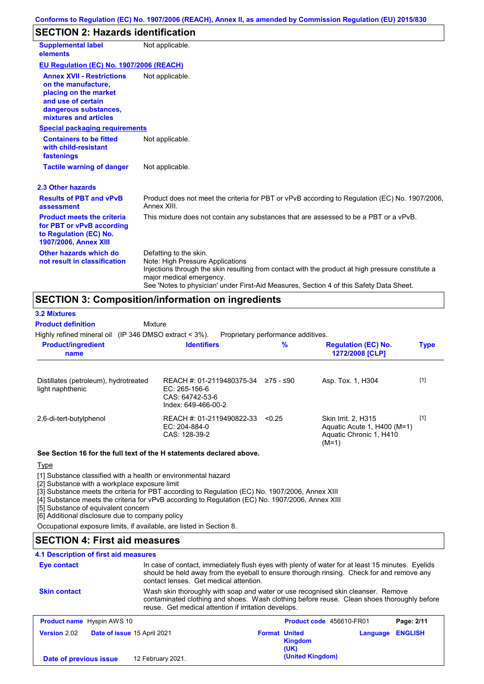## **SECTION 2: Hazards identification**

| <b>Supplemental label</b><br>elements                                                                                                                    | Not applicable.                                                                                                                                                                                                                                                                        |
|----------------------------------------------------------------------------------------------------------------------------------------------------------|----------------------------------------------------------------------------------------------------------------------------------------------------------------------------------------------------------------------------------------------------------------------------------------|
| EU Regulation (EC) No. 1907/2006 (REACH)                                                                                                                 |                                                                                                                                                                                                                                                                                        |
| <b>Annex XVII - Restrictions</b><br>on the manufacture.<br>placing on the market<br>and use of certain<br>dangerous substances,<br>mixtures and articles | Not applicable.                                                                                                                                                                                                                                                                        |
| <b>Special packaging requirements</b>                                                                                                                    |                                                                                                                                                                                                                                                                                        |
| <b>Containers to be fitted</b><br>with child-resistant<br>fastenings                                                                                     | Not applicable.                                                                                                                                                                                                                                                                        |
| <b>Tactile warning of danger</b>                                                                                                                         | Not applicable.                                                                                                                                                                                                                                                                        |
| 2.3 Other hazards                                                                                                                                        |                                                                                                                                                                                                                                                                                        |
| <b>Results of PBT and vPvB</b><br>assessment                                                                                                             | Product does not meet the criteria for PBT or vPvB according to Regulation (EC) No. 1907/2006,<br>Annex XIII.                                                                                                                                                                          |
| <b>Product meets the criteria</b><br>for PBT or vPvB according<br>to Regulation (EC) No.<br><b>1907/2006, Annex XIII</b>                                 | This mixture does not contain any substances that are assessed to be a PBT or a vPvB.                                                                                                                                                                                                  |
| Other hazards which do<br>not result in classification                                                                                                   | Defatting to the skin.<br>Note: High Pressure Applications<br>Injections through the skin resulting from contact with the product at high pressure constitute a<br>major medical emergency.<br>See 'Notes to physician' under First-Aid Measures, Section 4 of this Safety Data Sheet. |

### **SECTION 3: Composition/information on ingredients**

| <b>3.2 Mixtures</b>                                       |                                                                                      |                                    |                                                                                          |             |
|-----------------------------------------------------------|--------------------------------------------------------------------------------------|------------------------------------|------------------------------------------------------------------------------------------|-------------|
| <b>Product definition</b>                                 | Mixture                                                                              |                                    |                                                                                          |             |
| Highly refined mineral oil (IP 346 DMSO extract $<$ 3%).  |                                                                                      | Proprietary performance additives. |                                                                                          |             |
| <b>Product/ingredient</b><br>name                         | <b>Identifiers</b>                                                                   | $\%$                               | <b>Regulation (EC) No.</b><br>1272/2008 [CLP]                                            | <b>Type</b> |
| Distillates (petroleum), hydrotreated<br>light naphthenic | REACH #: 01-2119480375-34<br>EC: 265-156-6<br>CAS: 64742-53-6<br>Index: 649-466-00-2 | ≥75 - ≤90                          | Asp. Tox. 1, H304                                                                        | $[1]$       |
| 2,6-di-tert-butylphenol                                   | REACH #: 01-2119490822-33<br>$EC: 204-884-0$<br>CAS: 128-39-2                        | < 0.25                             | Skin Irrit. 2. H315<br>Aquatic Acute 1, H400 (M=1)<br>Aquatic Chronic 1, H410<br>$(M=1)$ | $[1]$       |

#### **See Section 16 for the full text of the H statements declared above.**

#### **Type**

[1] Substance classified with a health or environmental hazard

[2] Substance with a workplace exposure limit

[3] Substance meets the criteria for PBT according to Regulation (EC) No. 1907/2006, Annex XIII

[4] Substance meets the criteria for vPvB according to Regulation (EC) No. 1907/2006, Annex XIII

[5] Substance of equivalent concern

[6] Additional disclosure due to company policy

Occupational exposure limits, if available, are listed in Section 8.

### **SECTION 4: First aid measures**

### **4.1 Description of first aid measures**

| Eye contact                       |                             | In case of contact, immediately flush eyes with plenty of water for at least 15 minutes. Eyelids<br>should be held away from the eyeball to ensure thorough rinsing. Check for and remove any<br>contact lenses. Get medical attention. |                          |                |  |
|-----------------------------------|-----------------------------|-----------------------------------------------------------------------------------------------------------------------------------------------------------------------------------------------------------------------------------------|--------------------------|----------------|--|
| <b>Skin contact</b>               |                             | Wash skin thoroughly with soap and water or use recognised skin cleanser. Remove<br>contaminated clothing and shoes. Wash clothing before reuse. Clean shoes thoroughly before<br>reuse. Get medical attention if irritation develops.  |                          |                |  |
| <b>Product name</b> Hyspin AWS 10 |                             |                                                                                                                                                                                                                                         | Product code 456610-FR01 | Page: 2/11     |  |
| <b>Version 2.02</b>               | Date of issue 15 April 2021 | <b>Format United</b><br>Kinadom                                                                                                                                                                                                         | Language                 | <b>ENGLISH</b> |  |

| <b>Version 2.02</b>    | <b>Date of issue 15 April 2021</b> |                   | <b>Format United</b> | <b>Kingdom</b><br>(UK) | Language ENGLISH |  |
|------------------------|------------------------------------|-------------------|----------------------|------------------------|------------------|--|
| Date of previous issue |                                    | 12 February 2021. |                      | (United Kingdom)       |                  |  |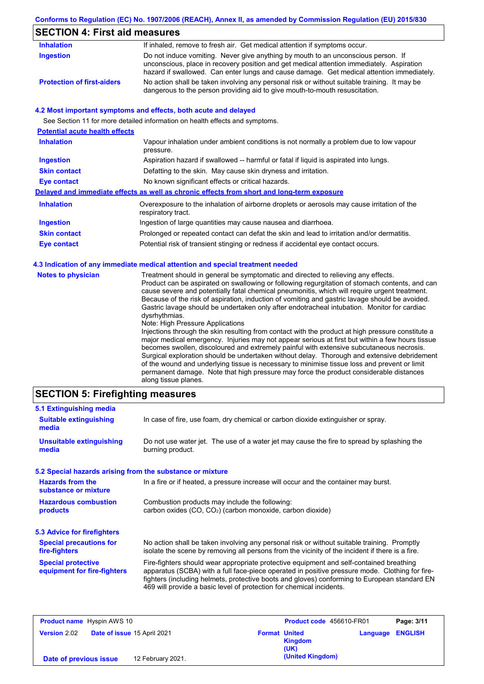### **Conforms to Regulation (EC) No. 1907/2006 (REACH), Annex II, as amended by Commission Regulation (EU) 2015/830**

## **SECTION 4: First aid measures**

| <b>Inhalation</b>                 | If inhaled, remove to fresh air. Get medical attention if symptoms occur.                                                                                                                                                                                                   |
|-----------------------------------|-----------------------------------------------------------------------------------------------------------------------------------------------------------------------------------------------------------------------------------------------------------------------------|
| Ingestion                         | Do not induce vomiting. Never give anything by mouth to an unconscious person. If<br>unconscious, place in recovery position and get medical attention immediately. Aspiration<br>hazard if swallowed. Can enter lungs and cause damage. Get medical attention immediately. |
| <b>Protection of first-aiders</b> | No action shall be taken involving any personal risk or without suitable training. It may be<br>dangerous to the person providing aid to give mouth-to-mouth resuscitation.                                                                                                 |

#### **4.2 Most important symptoms and effects, both acute and delayed**

See Section 11 for more detailed information on health effects and symptoms.

| <b>Potential acute health effects</b> |                                                                                                                   |
|---------------------------------------|-------------------------------------------------------------------------------------------------------------------|
| <b>Inhalation</b>                     | Vapour inhalation under ambient conditions is not normally a problem due to low vapour<br>pressure.               |
| <b>Ingestion</b>                      | Aspiration hazard if swallowed -- harmful or fatal if liquid is aspirated into lungs.                             |
| <b>Skin contact</b>                   | Defatting to the skin. May cause skin dryness and irritation.                                                     |
| Eye contact                           | No known significant effects or critical hazards.                                                                 |
|                                       | Delayed and immediate effects as well as chronic effects from short and long-term exposure                        |
| <b>Inhalation</b>                     | Overexposure to the inhalation of airborne droplets or aerosols may cause irritation of the<br>respiratory tract. |
| <b>Ingestion</b>                      | Ingestion of large quantities may cause nausea and diarrhoea.                                                     |
| <b>Skin contact</b>                   | Prolonged or repeated contact can defat the skin and lead to irritation and/or dermatitis.                        |
| Eye contact                           | Potential risk of transient stinging or redness if accidental eye contact occurs.                                 |
|                                       |                                                                                                                   |

#### **4.3 Indication of any immediate medical attention and special treatment needed**

|  | <b>Notes to physician</b> | Treatment should in general be symptomatic and directed to relieving any effects.<br>Product can be aspirated on swallowing or following regurgitation of stomach contents, and can<br>cause severe and potentially fatal chemical pneumonitis, which will require urgent treatment.<br>Because of the risk of aspiration, induction of vomiting and gastric lavage should be avoided.<br>Gastric lavage should be undertaken only after endotracheal intubation. Monitor for cardiac<br>dysrhythmias.<br>Note: High Pressure Applications<br>Injections through the skin resulting from contact with the product at high pressure constitute a<br>major medical emergency. Injuries may not appear serious at first but within a few hours tissue<br>becomes swollen, discoloured and extremely painful with extensive subcutaneous necrosis.<br>Surgical exploration should be undertaken without delay. Thorough and extensive debridement<br>of the wound and underlying tissue is necessary to minimise tissue loss and prevent or limit<br>permanent damage. Note that high pressure may force the product considerable distances<br>along tissue planes. |
|--|---------------------------|-----------------------------------------------------------------------------------------------------------------------------------------------------------------------------------------------------------------------------------------------------------------------------------------------------------------------------------------------------------------------------------------------------------------------------------------------------------------------------------------------------------------------------------------------------------------------------------------------------------------------------------------------------------------------------------------------------------------------------------------------------------------------------------------------------------------------------------------------------------------------------------------------------------------------------------------------------------------------------------------------------------------------------------------------------------------------------------------------------------------------------------------------------------------|
|--|---------------------------|-----------------------------------------------------------------------------------------------------------------------------------------------------------------------------------------------------------------------------------------------------------------------------------------------------------------------------------------------------------------------------------------------------------------------------------------------------------------------------------------------------------------------------------------------------------------------------------------------------------------------------------------------------------------------------------------------------------------------------------------------------------------------------------------------------------------------------------------------------------------------------------------------------------------------------------------------------------------------------------------------------------------------------------------------------------------------------------------------------------------------------------------------------------------|

#### **SECTION 5: Firefighting measures**

| 5.1 Extinguishing media                                   |                                                                                                                                                                                                                                                                                                                                                                   |
|-----------------------------------------------------------|-------------------------------------------------------------------------------------------------------------------------------------------------------------------------------------------------------------------------------------------------------------------------------------------------------------------------------------------------------------------|
| <b>Suitable extinguishing</b><br>media                    | In case of fire, use foam, dry chemical or carbon dioxide extinguisher or spray.                                                                                                                                                                                                                                                                                  |
| <b>Unsuitable extinguishing</b><br>media                  | Do not use water jet. The use of a water jet may cause the fire to spread by splashing the<br>burning product.                                                                                                                                                                                                                                                    |
| 5.2 Special hazards arising from the substance or mixture |                                                                                                                                                                                                                                                                                                                                                                   |
| <b>Hazards from the</b><br>substance or mixture           | In a fire or if heated, a pressure increase will occur and the container may burst.                                                                                                                                                                                                                                                                               |
| <b>Hazardous combustion</b><br>products                   | Combustion products may include the following:<br>carbon oxides (CO, CO <sub>2</sub> ) (carbon monoxide, carbon dioxide)                                                                                                                                                                                                                                          |
| 5.3 Advice for firefighters                               |                                                                                                                                                                                                                                                                                                                                                                   |
| <b>Special precautions for</b><br>fire-fighters           | No action shall be taken involving any personal risk or without suitable training. Promptly<br>isolate the scene by removing all persons from the vicinity of the incident if there is a fire.                                                                                                                                                                    |
| <b>Special protective</b><br>equipment for fire-fighters  | Fire-fighters should wear appropriate protective equipment and self-contained breathing<br>apparatus (SCBA) with a full face-piece operated in positive pressure mode. Clothing for fire-<br>fighters (including helmets, protective boots and gloves) conforming to European standard EN<br>469 will provide a basic level of protection for chemical incidents. |

| <b>Product name</b> Hyspin AWS 10 |                             |                   | Product code 456610-FR01 |                        | Page: 3/11 |                |
|-----------------------------------|-----------------------------|-------------------|--------------------------|------------------------|------------|----------------|
| <b>Version 2.02</b>               | Date of issue 15 April 2021 |                   | <b>Format United</b>     | <b>Kingdom</b><br>(UK) | Language   | <b>ENGLISH</b> |
| Date of previous issue            |                             | 12 February 2021. |                          | (United Kingdom)       |            |                |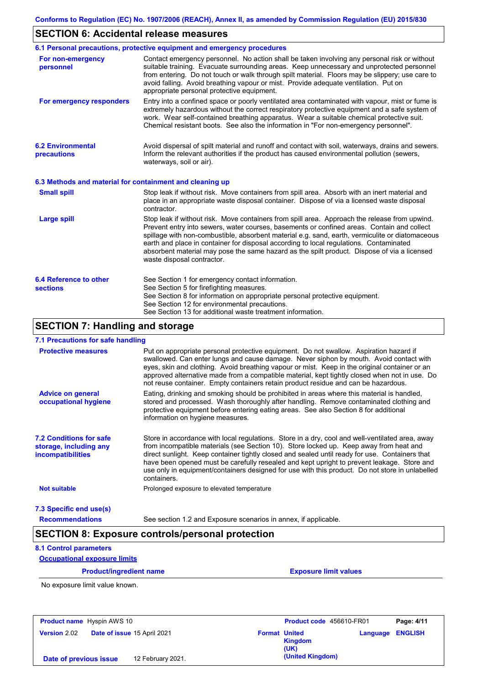### **SECTION 6: Accidental release measures**

|                                                          | 6.1 Personal precautions, protective equipment and emergency procedures                                                                                                                                                                                                                                                                                                                                                                                                                                               |
|----------------------------------------------------------|-----------------------------------------------------------------------------------------------------------------------------------------------------------------------------------------------------------------------------------------------------------------------------------------------------------------------------------------------------------------------------------------------------------------------------------------------------------------------------------------------------------------------|
| For non-emergency<br>personnel                           | Contact emergency personnel. No action shall be taken involving any personal risk or without<br>suitable training. Evacuate surrounding areas. Keep unnecessary and unprotected personnel<br>from entering. Do not touch or walk through spilt material. Floors may be slippery; use care to<br>avoid falling. Avoid breathing vapour or mist. Provide adequate ventilation. Put on<br>appropriate personal protective equipment.                                                                                     |
| For emergency responders                                 | Entry into a confined space or poorly ventilated area contaminated with vapour, mist or fume is<br>extremely hazardous without the correct respiratory protective equipment and a safe system of<br>work. Wear self-contained breathing apparatus. Wear a suitable chemical protective suit.<br>Chemical resistant boots. See also the information in "For non-emergency personnel".                                                                                                                                  |
| <b>6.2 Environmental</b><br>precautions                  | Avoid dispersal of spilt material and runoff and contact with soil, waterways, drains and sewers.<br>Inform the relevant authorities if the product has caused environmental pollution (sewers,<br>waterways, soil or air).                                                                                                                                                                                                                                                                                           |
| 6.3 Methods and material for containment and cleaning up |                                                                                                                                                                                                                                                                                                                                                                                                                                                                                                                       |
| <b>Small spill</b>                                       | Stop leak if without risk. Move containers from spill area. Absorb with an inert material and<br>place in an appropriate waste disposal container. Dispose of via a licensed waste disposal<br>contractor.                                                                                                                                                                                                                                                                                                            |
| <b>Large spill</b>                                       | Stop leak if without risk. Move containers from spill area. Approach the release from upwind.<br>Prevent entry into sewers, water courses, basements or confined areas. Contain and collect<br>spillage with non-combustible, absorbent material e.g. sand, earth, vermiculite or diatomaceous<br>earth and place in container for disposal according to local regulations. Contaminated<br>absorbent material may pose the same hazard as the spilt product. Dispose of via a licensed<br>waste disposal contractor. |
| 6.4 Reference to other<br><b>sections</b>                | See Section 1 for emergency contact information.<br>See Section 5 for firefighting measures.<br>See Section 8 for information on appropriate personal protective equipment.<br>See Section 12 for environmental precautions.<br>See Section 13 for additional waste treatment information.                                                                                                                                                                                                                            |

## **SECTION 7: Handling and storage**

#### **7.1 Precautions for safe handling**

| <b>Protective measures</b>                                                           | Put on appropriate personal protective equipment. Do not swallow. Aspiration hazard if<br>swallowed. Can enter lungs and cause damage. Never siphon by mouth. Avoid contact with<br>eyes, skin and clothing. Avoid breathing vapour or mist. Keep in the original container or an<br>approved alternative made from a compatible material, kept tightly closed when not in use. Do<br>not reuse container. Empty containers retain product residue and can be hazardous.                                    |
|--------------------------------------------------------------------------------------|-------------------------------------------------------------------------------------------------------------------------------------------------------------------------------------------------------------------------------------------------------------------------------------------------------------------------------------------------------------------------------------------------------------------------------------------------------------------------------------------------------------|
| <b>Advice on general</b><br>occupational hygiene                                     | Eating, drinking and smoking should be prohibited in areas where this material is handled,<br>stored and processed. Wash thoroughly after handling. Remove contaminated clothing and<br>protective equipment before entering eating areas. See also Section 8 for additional<br>information on hygiene measures.                                                                                                                                                                                            |
| <b>7.2 Conditions for safe</b><br>storage, including any<br><i>incompatibilities</i> | Store in accordance with local regulations. Store in a dry, cool and well-ventilated area, away<br>from incompatible materials (see Section 10). Store locked up. Keep away from heat and<br>direct sunlight. Keep container tightly closed and sealed until ready for use. Containers that<br>have been opened must be carefully resealed and kept upright to prevent leakage. Store and<br>use only in equipment/containers designed for use with this product. Do not store in unlabelled<br>containers. |
| <b>Not suitable</b>                                                                  | Prolonged exposure to elevated temperature                                                                                                                                                                                                                                                                                                                                                                                                                                                                  |
| 7.3 Specific end use(s)                                                              |                                                                                                                                                                                                                                                                                                                                                                                                                                                                                                             |
| <b>Recommendations</b>                                                               | See section 1.2 and Exposure scenarios in annex, if applicable.                                                                                                                                                                                                                                                                                                                                                                                                                                             |

### **SECTION 8: Exposure controls/personal protection**

#### **8.1 Control parameters**

#### **Occupational exposure limits**

**Product/ingredient name Exposure limit values** 

No exposure limit value known.

| <b>Product name</b> Hyspin AWS 10 |                             |                   |                      | <b>Product code</b> 456610-FR01 |          | Page: 4/11     |
|-----------------------------------|-----------------------------|-------------------|----------------------|---------------------------------|----------|----------------|
| <b>Version 2.02</b>               | Date of issue 15 April 2021 |                   | <b>Format United</b> | <b>Kingdom</b><br>(UK)          | Language | <b>ENGLISH</b> |
| Date of previous issue            |                             | 12 February 2021. |                      | (United Kingdom)                |          |                |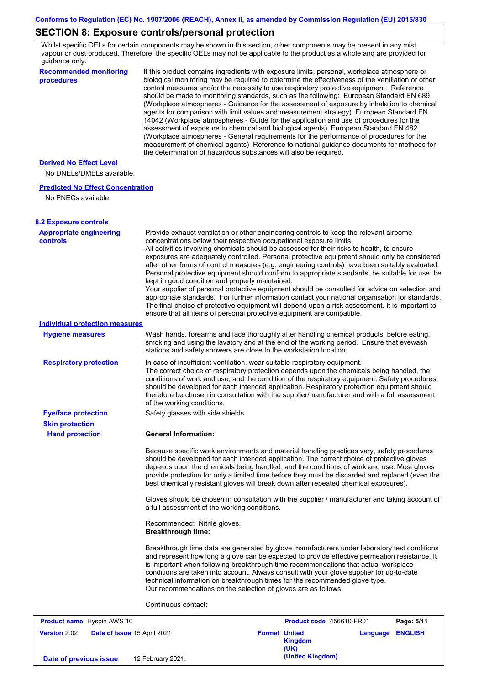## **SECTION 8: Exposure controls/personal protection**

Whilst specific OELs for certain components may be shown in this section, other components may be present in any mist, vapour or dust produced. Therefore, the specific OELs may not be applicable to the product as a whole and are provided for guidance only.

| <b>Recommended monitoring</b><br>procedures                 | If this product contains ingredients with exposure limits, personal, workplace atmosphere or<br>biological monitoring may be required to determine the effectiveness of the ventilation or other<br>control measures and/or the necessity to use respiratory protective equipment. Reference<br>should be made to monitoring standards, such as the following: European Standard EN 689<br>(Workplace atmospheres - Guidance for the assessment of exposure by inhalation to chemical<br>agents for comparison with limit values and measurement strategy) European Standard EN<br>14042 (Workplace atmospheres - Guide for the application and use of procedures for the<br>assessment of exposure to chemical and biological agents) European Standard EN 482<br>(Workplace atmospheres - General requirements for the performance of procedures for the<br>measurement of chemical agents) Reference to national guidance documents for methods for<br>the determination of hazardous substances will also be required. |
|-------------------------------------------------------------|----------------------------------------------------------------------------------------------------------------------------------------------------------------------------------------------------------------------------------------------------------------------------------------------------------------------------------------------------------------------------------------------------------------------------------------------------------------------------------------------------------------------------------------------------------------------------------------------------------------------------------------------------------------------------------------------------------------------------------------------------------------------------------------------------------------------------------------------------------------------------------------------------------------------------------------------------------------------------------------------------------------------------|
| <b>Derived No Effect Level</b><br>No DNELs/DMELs available. |                                                                                                                                                                                                                                                                                                                                                                                                                                                                                                                                                                                                                                                                                                                                                                                                                                                                                                                                                                                                                            |
| <b>Predicted No Effect Concentration</b>                    |                                                                                                                                                                                                                                                                                                                                                                                                                                                                                                                                                                                                                                                                                                                                                                                                                                                                                                                                                                                                                            |
| No PNECs available                                          |                                                                                                                                                                                                                                                                                                                                                                                                                                                                                                                                                                                                                                                                                                                                                                                                                                                                                                                                                                                                                            |
| <b>8.2 Exposure controls</b>                                |                                                                                                                                                                                                                                                                                                                                                                                                                                                                                                                                                                                                                                                                                                                                                                                                                                                                                                                                                                                                                            |
| <b>Appropriate engineering</b><br><b>controls</b>           | Provide exhaust ventilation or other engineering controls to keep the relevant airborne<br>concentrations below their respective occupational exposure limits.<br>All activities involving chemicals should be assessed for their risks to health, to ensure<br>exposures are adequately controlled. Personal protective equipment should only be considered<br>after other forms of control measures (e.g. engineering controls) have been suitably evaluated.<br>Personal protective equipment should conform to appropriate standards, be suitable for use, be<br>kept in good condition and properly maintained.<br>Your supplier of personal protective equipment should be consulted for advice on selection and<br>appropriate standards. For further information contact your national organisation for standards.<br>The final choice of protective equipment will depend upon a risk assessment. It is important to<br>ensure that all items of personal protective equipment are compatible.                    |
| <b>Individual protection measures</b>                       |                                                                                                                                                                                                                                                                                                                                                                                                                                                                                                                                                                                                                                                                                                                                                                                                                                                                                                                                                                                                                            |
| <b>Hygiene measures</b>                                     | Wash hands, forearms and face thoroughly after handling chemical products, before eating,<br>smoking and using the lavatory and at the end of the working period. Ensure that eyewash<br>stations and safety showers are close to the workstation location.                                                                                                                                                                                                                                                                                                                                                                                                                                                                                                                                                                                                                                                                                                                                                                |
| <b>Respiratory protection</b>                               | In case of insufficient ventilation, wear suitable respiratory equipment.<br>The correct choice of respiratory protection depends upon the chemicals being handled, the<br>conditions of work and use, and the condition of the respiratory equipment. Safety procedures<br>should be developed for each intended application. Respiratory protection equipment should<br>therefore be chosen in consultation with the supplier/manufacturer and with a full assessment<br>of the working conditions.                                                                                                                                                                                                                                                                                                                                                                                                                                                                                                                      |
| <b>Eye/face protection</b>                                  | Safety glasses with side shields.                                                                                                                                                                                                                                                                                                                                                                                                                                                                                                                                                                                                                                                                                                                                                                                                                                                                                                                                                                                          |
| <b>Skin protection</b>                                      |                                                                                                                                                                                                                                                                                                                                                                                                                                                                                                                                                                                                                                                                                                                                                                                                                                                                                                                                                                                                                            |
| <b>Hand protection</b>                                      | <b>General Information:</b>                                                                                                                                                                                                                                                                                                                                                                                                                                                                                                                                                                                                                                                                                                                                                                                                                                                                                                                                                                                                |
|                                                             | Because specific work environments and material handling practices vary, safety procedures<br>should be developed for each intended application. The correct choice of protective gloves<br>depends upon the chemicals being handled, and the conditions of work and use. Most gloves<br>provide protection for only a limited time before they must be discarded and replaced (even the<br>best chemically resistant gloves will break down after repeated chemical exposures).                                                                                                                                                                                                                                                                                                                                                                                                                                                                                                                                           |
|                                                             | Gloves should be chosen in consultation with the supplier / manufacturer and taking account of<br>a full assessment of the working conditions.                                                                                                                                                                                                                                                                                                                                                                                                                                                                                                                                                                                                                                                                                                                                                                                                                                                                             |
|                                                             | Recommended: Nitrile gloves.<br><b>Breakthrough time:</b>                                                                                                                                                                                                                                                                                                                                                                                                                                                                                                                                                                                                                                                                                                                                                                                                                                                                                                                                                                  |
|                                                             | Breakthrough time data are generated by glove manufacturers under laboratory test conditions<br>and represent how long a glove can be expected to provide effective permeation resistance. It<br>is important when following breakthrough time recommendations that actual workplace<br>conditions are taken into account. Always consult with your glove supplier for up-to-date<br>technical information on breakthrough times for the recommended glove type.<br>Our recommendations on the selection of gloves are as follows:                                                                                                                                                                                                                                                                                                                                                                                                                                                                                         |
|                                                             | Continuous contact:                                                                                                                                                                                                                                                                                                                                                                                                                                                                                                                                                                                                                                                                                                                                                                                                                                                                                                                                                                                                        |
| <b>Product name</b> Hyspin AWS 10                           | Product code 456610-FR01<br>Page: 5/11                                                                                                                                                                                                                                                                                                                                                                                                                                                                                                                                                                                                                                                                                                                                                                                                                                                                                                                                                                                     |

| <b>Product name</b> Hyspin AWS 10 |                             | Product code 456610-FR01                |                         | Page: 5/11 |
|-----------------------------------|-----------------------------|-----------------------------------------|-------------------------|------------|
| <b>Version 2.02</b>               | Date of issue 15 April 2021 | <b>Format United</b><br>Kingdom<br>(UK) | <b>Language ENGLISH</b> |            |
| Date of previous issue            | 12 February 2021.           | (United Kingdom)                        |                         |            |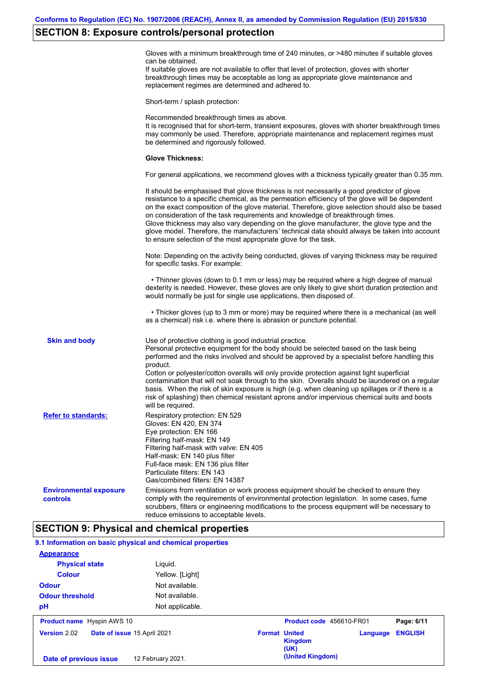## **SECTION 8: Exposure controls/personal protection**

|                                           | Gloves with a minimum breakthrough time of 240 minutes, or >480 minutes if suitable gloves<br>can be obtained.                                                                                                                                                                                                                                                                                                                                                                                                                                                                                                                                    |
|-------------------------------------------|---------------------------------------------------------------------------------------------------------------------------------------------------------------------------------------------------------------------------------------------------------------------------------------------------------------------------------------------------------------------------------------------------------------------------------------------------------------------------------------------------------------------------------------------------------------------------------------------------------------------------------------------------|
|                                           | If suitable gloves are not available to offer that level of protection, gloves with shorter<br>breakthrough times may be acceptable as long as appropriate glove maintenance and<br>replacement regimes are determined and adhered to.                                                                                                                                                                                                                                                                                                                                                                                                            |
|                                           | Short-term / splash protection:                                                                                                                                                                                                                                                                                                                                                                                                                                                                                                                                                                                                                   |
|                                           | Recommended breakthrough times as above.<br>It is recognised that for short-term, transient exposures, gloves with shorter breakthrough times<br>may commonly be used. Therefore, appropriate maintenance and replacement regimes must<br>be determined and rigorously followed.                                                                                                                                                                                                                                                                                                                                                                  |
|                                           | <b>Glove Thickness:</b>                                                                                                                                                                                                                                                                                                                                                                                                                                                                                                                                                                                                                           |
|                                           | For general applications, we recommend gloves with a thickness typically greater than 0.35 mm.                                                                                                                                                                                                                                                                                                                                                                                                                                                                                                                                                    |
|                                           | It should be emphasised that glove thickness is not necessarily a good predictor of glove<br>resistance to a specific chemical, as the permeation efficiency of the glove will be dependent<br>on the exact composition of the glove material. Therefore, glove selection should also be based<br>on consideration of the task requirements and knowledge of breakthrough times.<br>Glove thickness may also vary depending on the glove manufacturer, the glove type and the<br>glove model. Therefore, the manufacturers' technical data should always be taken into account<br>to ensure selection of the most appropriate glove for the task. |
|                                           | Note: Depending on the activity being conducted, gloves of varying thickness may be required<br>for specific tasks. For example:                                                                                                                                                                                                                                                                                                                                                                                                                                                                                                                  |
|                                           | • Thinner gloves (down to 0.1 mm or less) may be required where a high degree of manual<br>dexterity is needed. However, these gloves are only likely to give short duration protection and<br>would normally be just for single use applications, then disposed of.                                                                                                                                                                                                                                                                                                                                                                              |
|                                           | • Thicker gloves (up to 3 mm or more) may be required where there is a mechanical (as well<br>as a chemical) risk i.e. where there is abrasion or puncture potential.                                                                                                                                                                                                                                                                                                                                                                                                                                                                             |
| <b>Skin and body</b>                      | Use of protective clothing is good industrial practice.<br>Personal protective equipment for the body should be selected based on the task being<br>performed and the risks involved and should be approved by a specialist before handling this<br>product.                                                                                                                                                                                                                                                                                                                                                                                      |
|                                           | Cotton or polyester/cotton overalls will only provide protection against light superficial<br>contamination that will not soak through to the skin. Overalls should be laundered on a regular<br>basis. When the risk of skin exposure is high (e.g. when cleaning up spillages or if there is a<br>risk of splashing) then chemical resistant aprons and/or impervious chemical suits and boots<br>will be required.                                                                                                                                                                                                                             |
| <b>Refer to standards:</b>                | Respiratory protection: EN 529<br>Gloves: EN 420, EN 374<br>Eye protection: EN 166<br>Filtering half-mask: EN 149<br>Filtering half-mask with valve: EN 405<br>Half-mask: EN 140 plus filter<br>Full-face mask: EN 136 plus filter<br>Particulate filters: EN 143<br>Gas/combined filters: EN 14387                                                                                                                                                                                                                                                                                                                                               |
| <b>Environmental exposure</b><br>controls | Emissions from ventilation or work process equipment should be checked to ensure they<br>comply with the requirements of environmental protection legislation. In some cases, fume<br>scrubbers, filters or engineering modifications to the process equipment will be necessary to<br>reduce emissions to acceptable levels.                                                                                                                                                                                                                                                                                                                     |

## **SECTION 9: Physical and chemical properties**

| <b>Odour threshold</b><br>pH                       | Not available.<br>Not applicable. |                      |                          |          |                |
|----------------------------------------------------|-----------------------------------|----------------------|--------------------------|----------|----------------|
| <b>Product name</b> Hyspin AWS 10                  |                                   |                      | Product code 456610-FR01 |          | Page: 6/11     |
| <b>Version 2.02</b><br>Date of issue 15 April 2021 |                                   | <b>Format United</b> | <b>Kingdom</b><br>(UK)   | Language | <b>ENGLISH</b> |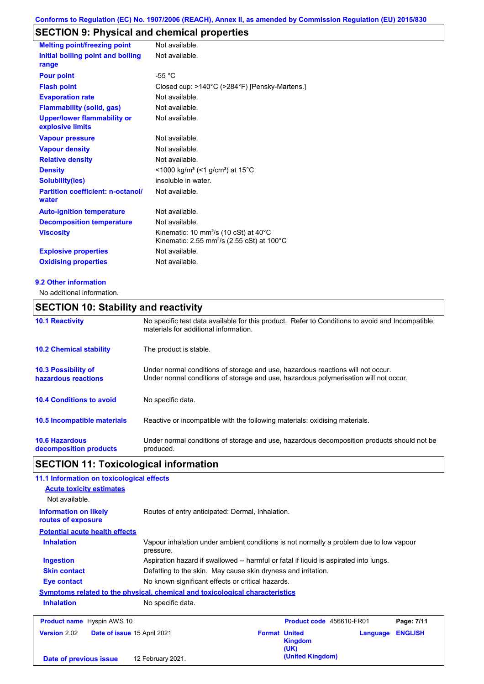## **SECTION 9: Physical and chemical properties**

| <b>Melting point/freezing point</b>                    | Not available.                                                                                                                    |
|--------------------------------------------------------|-----------------------------------------------------------------------------------------------------------------------------------|
| Initial boiling point and boiling<br>range             | Not available.                                                                                                                    |
| <b>Pour point</b>                                      | $-55 °C$                                                                                                                          |
| <b>Flash point</b>                                     | Closed cup: >140°C (>284°F) [Pensky-Martens.]                                                                                     |
| <b>Evaporation rate</b>                                | Not available.                                                                                                                    |
| <b>Flammability (solid, gas)</b>                       | Not available.                                                                                                                    |
| <b>Upper/lower flammability or</b><br>explosive limits | Not available.                                                                                                                    |
| <b>Vapour pressure</b>                                 | Not available.                                                                                                                    |
| <b>Vapour density</b>                                  | Not available.                                                                                                                    |
| <b>Relative density</b>                                | Not available.                                                                                                                    |
| <b>Density</b>                                         | <1000 kg/m <sup>3</sup> (<1 g/cm <sup>3</sup> ) at 15 <sup>°</sup> C                                                              |
| <b>Solubility(ies)</b>                                 | insoluble in water.                                                                                                               |
| <b>Partition coefficient: n-octanol/</b><br>water      | Not available.                                                                                                                    |
| <b>Auto-ignition temperature</b>                       | Not available.                                                                                                                    |
| <b>Decomposition temperature</b>                       | Not available.                                                                                                                    |
| <b>Viscosity</b>                                       | Kinematic: 10 mm <sup>2</sup> /s (10 cSt) at 40 $^{\circ}$ C<br>Kinematic: 2.55 mm <sup>2</sup> /s (2.55 cSt) at 100 $^{\circ}$ C |
| <b>Explosive properties</b>                            | Not available.                                                                                                                    |
| <b>Oxidising properties</b>                            | Not available.                                                                                                                    |

#### **9.2 Other information**

No additional information.

# **SECTION 10: Stability and reactivity**

| <b>10.1 Reactivity</b>                            | No specific test data available for this product. Refer to Conditions to avoid and Incompatible<br>materials for additional information.                                |
|---------------------------------------------------|-------------------------------------------------------------------------------------------------------------------------------------------------------------------------|
| <b>10.2 Chemical stability</b>                    | The product is stable.                                                                                                                                                  |
| <b>10.3 Possibility of</b><br>hazardous reactions | Under normal conditions of storage and use, hazardous reactions will not occur.<br>Under normal conditions of storage and use, hazardous polymerisation will not occur. |
| <b>10.4 Conditions to avoid</b>                   | No specific data.                                                                                                                                                       |
| <b>10.5 Incompatible materials</b>                | Reactive or incompatible with the following materials: oxidising materials.                                                                                             |
| <b>10.6 Hazardous</b><br>decomposition products   | Under normal conditions of storage and use, hazardous decomposition products should not be<br>produced.                                                                 |

## **SECTION 11: Toxicological information**

| 11.1 Information on toxicological effects                                    |                                                                                                     |                                        |          |                |
|------------------------------------------------------------------------------|-----------------------------------------------------------------------------------------------------|----------------------------------------|----------|----------------|
| <b>Acute toxicity estimates</b>                                              |                                                                                                     |                                        |          |                |
| Not available.                                                               |                                                                                                     |                                        |          |                |
| <b>Information on likely</b><br>routes of exposure                           | Routes of entry anticipated: Dermal, Inhalation.                                                    |                                        |          |                |
| <b>Potential acute health effects</b>                                        |                                                                                                     |                                        |          |                |
| <b>Inhalation</b>                                                            | Vapour inhalation under ambient conditions is not normally a problem due to low vapour<br>pressure. |                                        |          |                |
| <b>Ingestion</b>                                                             | Aspiration hazard if swallowed -- harmful or fatal if liquid is aspirated into lungs.               |                                        |          |                |
| <b>Skin contact</b>                                                          | Defatting to the skin. May cause skin dryness and irritation.                                       |                                        |          |                |
| Eye contact                                                                  | No known significant effects or critical hazards.                                                   |                                        |          |                |
| Symptoms related to the physical, chemical and toxicological characteristics |                                                                                                     |                                        |          |                |
| <b>Inhalation</b>                                                            | No specific data.                                                                                   |                                        |          |                |
| <b>Product name</b> Hyspin AWS 10                                            |                                                                                                     | Product code 456610-FR01               |          | Page: 7/11     |
| <b>Version 2.02</b><br>Date of issue 15 April 2021                           |                                                                                                     | <b>Format United</b><br><b>Kingdom</b> | Language | <b>ENGLISH</b> |

**(United Kingdom) Date of previous issue** 12 February 2021.

**(UK)**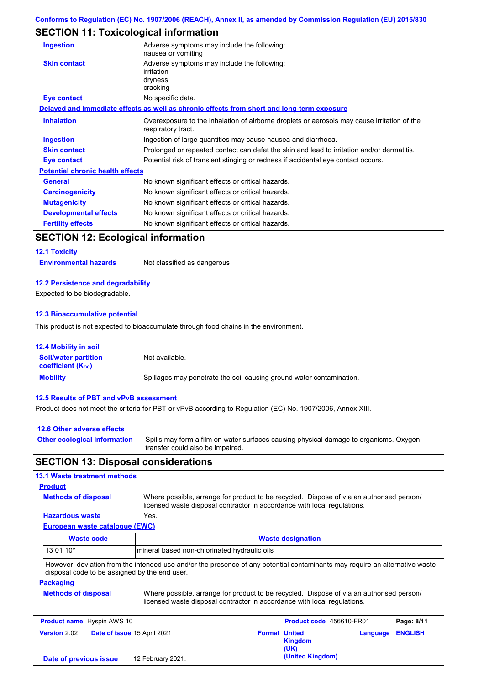### **SECTION 11: Toxicological information**

| Ingestion                               | Adverse symptoms may include the following:<br>nausea or vomiting                                                 |
|-----------------------------------------|-------------------------------------------------------------------------------------------------------------------|
| <b>Skin contact</b>                     | Adverse symptoms may include the following:<br>irritation<br>dryness<br>cracking                                  |
| Eye contact                             | No specific data.                                                                                                 |
|                                         | Delayed and immediate effects as well as chronic effects from short and long-term exposure                        |
| <b>Inhalation</b>                       | Overexposure to the inhalation of airborne droplets or aerosols may cause irritation of the<br>respiratory tract. |
| <b>Ingestion</b>                        | Ingestion of large quantities may cause nausea and diarrhoea.                                                     |
| <b>Skin contact</b>                     | Prolonged or repeated contact can defat the skin and lead to irritation and/or dermatitis.                        |
| Eye contact                             | Potential risk of transient stinging or redness if accidental eye contact occurs.                                 |
| <b>Potential chronic health effects</b> |                                                                                                                   |
| <b>General</b>                          | No known significant effects or critical hazards.                                                                 |
| <b>Carcinogenicity</b>                  | No known significant effects or critical hazards.                                                                 |
| <b>Mutagenicity</b>                     | No known significant effects or critical hazards.                                                                 |
| <b>Developmental effects</b>            | No known significant effects or critical hazards.                                                                 |
| <b>Fertility effects</b>                | No known significant effects or critical hazards.                                                                 |
|                                         |                                                                                                                   |

### **SECTION 12: Ecological information**

**12.1 Toxicity**

**Environmental hazards** Not classified as dangerous

#### **12.2 Persistence and degradability**

Expected to be biodegradable.

#### **12.3 Bioaccumulative potential**

This product is not expected to bioaccumulate through food chains in the environment.

| <b>12.4 Mobility in soil</b>                                  |                                                                      |
|---------------------------------------------------------------|----------------------------------------------------------------------|
| <b>Soil/water partition</b><br>coefficient (K <sub>oc</sub> ) | Not available.                                                       |
| <b>Mobility</b>                                               | Spillages may penetrate the soil causing ground water contamination. |

#### **12.5 Results of PBT and vPvB assessment**

Product does not meet the criteria for PBT or vPvB according to Regulation (EC) No. 1907/2006, Annex XIII.

#### **12.6 Other adverse effects**

Spills may form a film on water surfaces causing physical damage to organisms. Oxygen transfer could also be impaired. **Other ecological information**

### **SECTION 13: Disposal considerations**

| <b>13.1 Waste treatment methods</b>                               |                                                                                                                                                                      |                                                |          |                |
|-------------------------------------------------------------------|----------------------------------------------------------------------------------------------------------------------------------------------------------------------|------------------------------------------------|----------|----------------|
| <b>Product</b>                                                    |                                                                                                                                                                      |                                                |          |                |
| <b>Methods of disposal</b>                                        | Where possible, arrange for product to be recycled. Dispose of via an authorised person/<br>licensed waste disposal contractor in accordance with local regulations. |                                                |          |                |
| <b>Hazardous waste</b>                                            | Yes.                                                                                                                                                                 |                                                |          |                |
| <b>European waste catalogue (EWC)</b>                             |                                                                                                                                                                      |                                                |          |                |
| <b>Waste code</b>                                                 |                                                                                                                                                                      | <b>Waste designation</b>                       |          |                |
| 13 01 10*                                                         | mineral based non-chlorinated hydraulic oils                                                                                                                         |                                                |          |                |
| disposal code to be assigned by the end user.<br><b>Packaging</b> | However, deviation from the intended use and/or the presence of any potential contaminants may require an alternative waste                                          |                                                |          |                |
| <b>Methods of disposal</b>                                        | Where possible, arrange for product to be recycled. Dispose of via an authorised person/<br>licensed waste disposal contractor in accordance with local regulations. |                                                |          |                |
| <b>Product name</b> Hyspin AWS 10                                 |                                                                                                                                                                      | Product code 456610-FR01                       |          | Page: 8/11     |
| <b>Version 2.02</b>                                               | <b>Date of issue 15 April 2021</b>                                                                                                                                   | <b>Format United</b><br><b>Kingdom</b><br>(UK) | Language | <b>ENGLISH</b> |
| Date of previous issue                                            | 12 February 2021.                                                                                                                                                    | (United Kingdom)                               |          |                |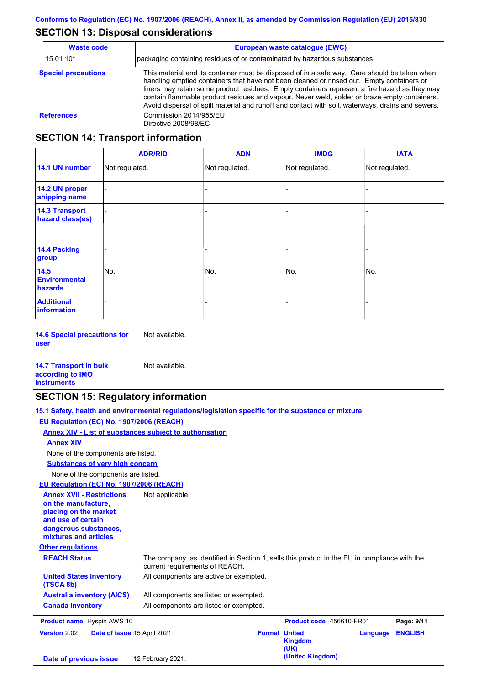## **SECTION 13: Disposal considerations**

| <b>Waste code</b>          | European waste catalogue (EWC)                                                                                                                                                                                                                                                                                                                                                                                                                                                                  |  |  |
|----------------------------|-------------------------------------------------------------------------------------------------------------------------------------------------------------------------------------------------------------------------------------------------------------------------------------------------------------------------------------------------------------------------------------------------------------------------------------------------------------------------------------------------|--|--|
| 15 01 10*                  | packaging containing residues of or contaminated by hazardous substances                                                                                                                                                                                                                                                                                                                                                                                                                        |  |  |
| <b>Special precautions</b> | This material and its container must be disposed of in a safe way. Care should be taken when<br>handling emptied containers that have not been cleaned or rinsed out. Empty containers or<br>liners may retain some product residues. Empty containers represent a fire hazard as they may<br>contain flammable product residues and vapour. Never weld, solder or braze empty containers.<br>Avoid dispersal of spilt material and runoff and contact with soil, waterways, drains and sewers. |  |  |
| <b>References</b>          | Commission 2014/955/EU<br>Directive 2008/98/EC                                                                                                                                                                                                                                                                                                                                                                                                                                                  |  |  |

## **SECTION 14: Transport information**

|                                                | <b>ADR/RID</b> | <b>ADN</b>     | <b>IMDG</b>    | <b>IATA</b>    |
|------------------------------------------------|----------------|----------------|----------------|----------------|
| 14.1 UN number                                 | Not regulated. | Not regulated. | Not regulated. | Not regulated. |
| 14.2 UN proper<br>shipping name                |                |                |                |                |
| <b>14.3 Transport</b><br>hazard class(es)      |                |                |                |                |
| 14.4 Packing<br>group                          |                |                |                |                |
| 14.5<br><b>Environmental</b><br><b>hazards</b> | No.            | No.            | No.            | No.            |
| <b>Additional</b><br>information               |                |                |                |                |

**14.6 Special precautions for user** Not available.

#### **14.7 Transport in bulk according to IMO instruments** Not available.

### **SECTION 15: Regulatory information**

|                                                                                                                                                          | 15.1 Safety, health and environmental regulations/legislation specific for the substance or mixture                            |                      |                          |          |                |  |
|----------------------------------------------------------------------------------------------------------------------------------------------------------|--------------------------------------------------------------------------------------------------------------------------------|----------------------|--------------------------|----------|----------------|--|
| EU Regulation (EC) No. 1907/2006 (REACH)                                                                                                                 |                                                                                                                                |                      |                          |          |                |  |
|                                                                                                                                                          | Annex XIV - List of substances subject to authorisation                                                                        |                      |                          |          |                |  |
| <b>Annex XIV</b>                                                                                                                                         |                                                                                                                                |                      |                          |          |                |  |
| None of the components are listed.                                                                                                                       |                                                                                                                                |                      |                          |          |                |  |
| <b>Substances of very high concern</b>                                                                                                                   |                                                                                                                                |                      |                          |          |                |  |
| None of the components are listed.                                                                                                                       |                                                                                                                                |                      |                          |          |                |  |
| EU Regulation (EC) No. 1907/2006 (REACH)                                                                                                                 |                                                                                                                                |                      |                          |          |                |  |
| <b>Annex XVII - Restrictions</b><br>on the manufacture.<br>placing on the market<br>and use of certain<br>dangerous substances,<br>mixtures and articles | Not applicable.                                                                                                                |                      |                          |          |                |  |
| <b>Other regulations</b>                                                                                                                                 |                                                                                                                                |                      |                          |          |                |  |
| <b>REACH Status</b>                                                                                                                                      | The company, as identified in Section 1, sells this product in the EU in compliance with the<br>current requirements of REACH. |                      |                          |          |                |  |
| <b>United States inventory</b><br>(TSCA 8b)                                                                                                              | All components are active or exempted.                                                                                         |                      |                          |          |                |  |
| <b>Australia inventory (AICS)</b>                                                                                                                        | All components are listed or exempted.                                                                                         |                      |                          |          |                |  |
| <b>Canada inventory</b>                                                                                                                                  | All components are listed or exempted.                                                                                         |                      |                          |          |                |  |
| <b>Product name</b> Hyspin AWS 10                                                                                                                        |                                                                                                                                |                      | Product code 456610-FR01 |          | Page: 9/11     |  |
| <b>Version 2.02</b><br>Date of issue 15 April 2021                                                                                                       |                                                                                                                                | <b>Format United</b> | <b>Kingdom</b><br>(UK)   | Language | <b>ENGLISH</b> |  |
| Date of previous issue                                                                                                                                   | 12 February 2021.                                                                                                              |                      | (United Kingdom)         |          |                |  |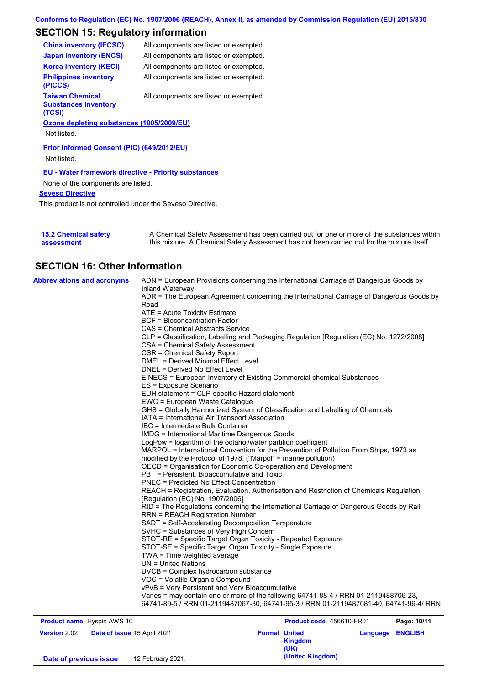## **SECTION 15: Regulatory information**

| <b>China inventory (IECSC)</b>                                  | All components are listed or exempted. |
|-----------------------------------------------------------------|----------------------------------------|
| <b>Japan inventory (ENCS)</b>                                   | All components are listed or exempted. |
| <b>Korea inventory (KECI)</b>                                   | All components are listed or exempted. |
| <b>Philippines inventory</b><br>(PICCS)                         | All components are listed or exempted. |
| <b>Taiwan Chemical</b><br><b>Substances Inventory</b><br>(TCSI) | All components are listed or exempted. |
| Ozone depleting substances (1005/2009/EU)                       |                                        |
| Not listed.                                                     |                                        |
| Prior Informed Consent (PIC) (649/2012/EU)<br>Not listed.       |                                        |
| <b>EU - Water framework directive - Priority substances</b>     |                                        |
| None of the components are listed.                              |                                        |
| <b>Seveso Directive</b>                                         |                                        |

This product is not controlled under the Seveso Directive.

| <b>15.2 Chemical safety</b> | A Chemical Safety Assessment has been carried out for one or more of the substances within  |
|-----------------------------|---------------------------------------------------------------------------------------------|
| assessment                  | this mixture. A Chemical Safety Assessment has not been carried out for the mixture itself. |

# **SECTION 16: Other information**

| <b>Abbreviations and acronyms</b> | ADN = European Provisions concerning the International Carriage of Dangerous Goods by<br>Inland Waterway |
|-----------------------------------|----------------------------------------------------------------------------------------------------------|
|                                   | ADR = The European Agreement concerning the International Carriage of Dangerous Goods by<br>Road         |
|                                   | ATE = Acute Toxicity Estimate                                                                            |
|                                   | <b>BCF = Bioconcentration Factor</b>                                                                     |
|                                   | CAS = Chemical Abstracts Service                                                                         |
|                                   | CLP = Classification, Labelling and Packaging Regulation [Regulation (EC) No. 1272/2008]                 |
|                                   | CSA = Chemical Safety Assessment                                                                         |
|                                   | CSR = Chemical Safety Report                                                                             |
|                                   | DMEL = Derived Minimal Effect Level                                                                      |
|                                   | DNEL = Derived No Effect Level                                                                           |
|                                   | EINECS = European Inventory of Existing Commercial chemical Substances                                   |
|                                   | ES = Exposure Scenario                                                                                   |
|                                   | EUH statement = CLP-specific Hazard statement                                                            |
|                                   | EWC = European Waste Catalogue                                                                           |
|                                   | GHS = Globally Harmonized System of Classification and Labelling of Chemicals                            |
|                                   | IATA = International Air Transport Association                                                           |
|                                   | IBC = Intermediate Bulk Container                                                                        |
|                                   | <b>IMDG = International Maritime Dangerous Goods</b>                                                     |
|                                   | LogPow = logarithm of the octanol/water partition coefficient                                            |
|                                   | MARPOL = International Convention for the Prevention of Pollution From Ships, 1973 as                    |
|                                   | modified by the Protocol of 1978. ("Marpol" = marine pollution)                                          |
|                                   | OECD = Organisation for Economic Co-operation and Development                                            |
|                                   | PBT = Persistent, Bioaccumulative and Toxic                                                              |
|                                   | PNEC = Predicted No Effect Concentration                                                                 |
|                                   | REACH = Registration, Evaluation, Authorisation and Restriction of Chemicals Regulation                  |
|                                   | [Regulation (EC) No. 1907/2006]                                                                          |
|                                   | RID = The Regulations concerning the International Carriage of Dangerous Goods by Rail                   |
|                                   | <b>RRN = REACH Registration Number</b>                                                                   |
|                                   | SADT = Self-Accelerating Decomposition Temperature                                                       |
|                                   | SVHC = Substances of Very High Concern                                                                   |
|                                   | STOT-RE = Specific Target Organ Toxicity - Repeated Exposure                                             |
|                                   | STOT-SE = Specific Target Organ Toxicity - Single Exposure                                               |
|                                   | TWA = Time weighted average                                                                              |
|                                   | $UN = United Nations$                                                                                    |
|                                   | UVCB = Complex hydrocarbon substance                                                                     |
|                                   | VOC = Volatile Organic Compound                                                                          |
|                                   | vPvB = Very Persistent and Very Bioaccumulative                                                          |
|                                   | Varies = may contain one or more of the following 64741-88-4 / RRN 01-2119488706-23,                     |
|                                   | 64741-89-5 / RRN 01-2119487067-30, 64741-95-3 / RRN 01-2119487081-40, 64741-96-4/ RRN                    |

| <b>Product name</b> Hyspin AWS 10 |                             | <b>Product code</b> 456610-FR01                |                         | Page: 10/11 |
|-----------------------------------|-----------------------------|------------------------------------------------|-------------------------|-------------|
| <b>Version 2.02</b>               | Date of issue 15 April 2021 | <b>Format United</b><br><b>Kingdom</b><br>(UK) | <b>Language ENGLISH</b> |             |
| Date of previous issue            | 12 February 2021.           | (United Kingdom)                               |                         |             |